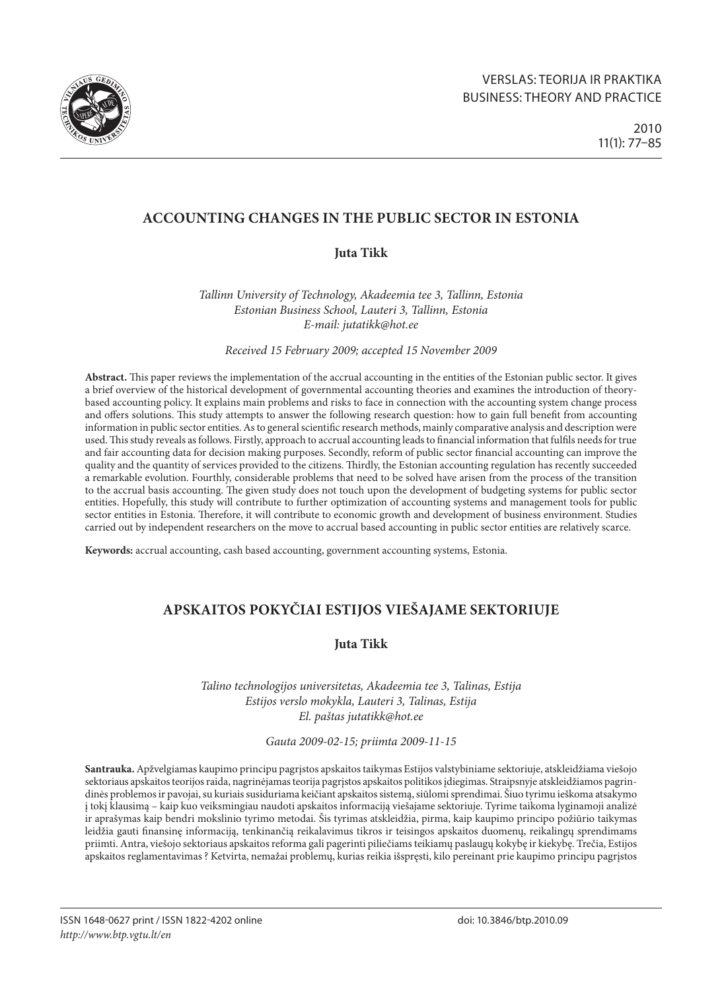

# **ACCOUNTING CHANGES IN THE PUBLIC SECTOR IN ESTONIA**

# **Juta Tikk**

*Tallinn University of Technology, Akadeemia tee 3, Tallinn, Estonia Estonian Business School, Lauteri 3, Tallinn, Estonia E-mail: [jutatikk@hot.ee](mailto:jutatikk@hot.ee)*

*Received 15 February 2009; accepted 15 November 2009*

**Abstract.** This paper reviews the implementation of the accrual accounting in the entities of the Estonian public sector. It gives a brief overview of the historical development of governmental accounting theories and examines the introduction of theorybased accounting policy. It explains main problems and risks to face in connection with the accounting system change process and offers solutions. This study attempts to answer the following research question: how to gain full benefit from accounting information in public sector entities. As to general scientific research methods, mainly comparative analysis and description were used. This study reveals as follows. Firstly, approach to accrual accounting leads to financial information that fulfils needs for true and fair accounting data for decision making purposes. Secondly, reform of public sector financial accounting can improve the quality and the quantity of services provided to the citizens. Thirdly, the Estonian accounting regulation has recently succeeded a remarkable evolution. Fourthly, considerable problems that need to be solved have arisen from the process of the transition to the accrual basis accounting. The given study does not touch upon the development of budgeting systems for public sector entities. Hopefully, this study will contribute to further optimization of accounting systems and management tools for public sector entities in Estonia. Therefore, it will contribute to economic growth and development of business environment. Studies carried out by independent researchers on the move to accrual based accounting in public sector entities are relatively scarce.

**Keywords:** accrual accounting, cash based accounting, government accounting systems, Estonia.

# **Apskaitos pokyčiai Estijos viešajame sektoriuje**

# **Juta Tikk**

*Talino technologijos universitetas, Akadeemia tee 3, Talinas, Estija Estijos verslo mokykla, Lauteri 3, Talinas, Estija El. paštas [jutatikk@hot.ee](mailto:jutatikk@hot.ee)*

*Gauta 2009-02-15; priimta 2009-11-15*

**Santrauka.** Apžvelgiamas kaupimo principu pagrįstos apskaitos taikymas Estijos valstybiniame sektoriuje, atskleidžiama viešojo sektoriaus apskaitos teorijos raida, nagrinėjamas teorija pagrįstos apskaitos politikos įdiegimas. Straipsnyje atskleidžiamos pagrindinės problemos ir pavojai, su kuriais susiduriama keičiant apskaitos sistemą, siūlomi sprendimai. Šiuo tyrimu ieškoma atsakymo į tokį klausimą – kaip kuo veiksmingiau naudoti apskaitos informaciją viešajame sektoriuje. Tyrime taikoma lyginamoji analizė ir aprašymas kaip bendri mokslinio tyrimo metodai. Šis tyrimas atskleidžia, pirma, kaip kaupimo principo požiūrio taikymas leidžia gauti finansinę informaciją, tenkinančią reikalavimus tikros ir teisingos apskaitos duomenų, reikalingų sprendimams priimti. Antra, viešojo sektoriaus apskaitos reforma gali pagerinti piliečiams teikiamų paslaugų kokybę ir kiekybę. Trečia, Estijos apskaitos reglamentavimas ? Ketvirta, nemažai problemų, kurias reikia išspręsti, kilo pereinant prie kaupimo principu pagrįstos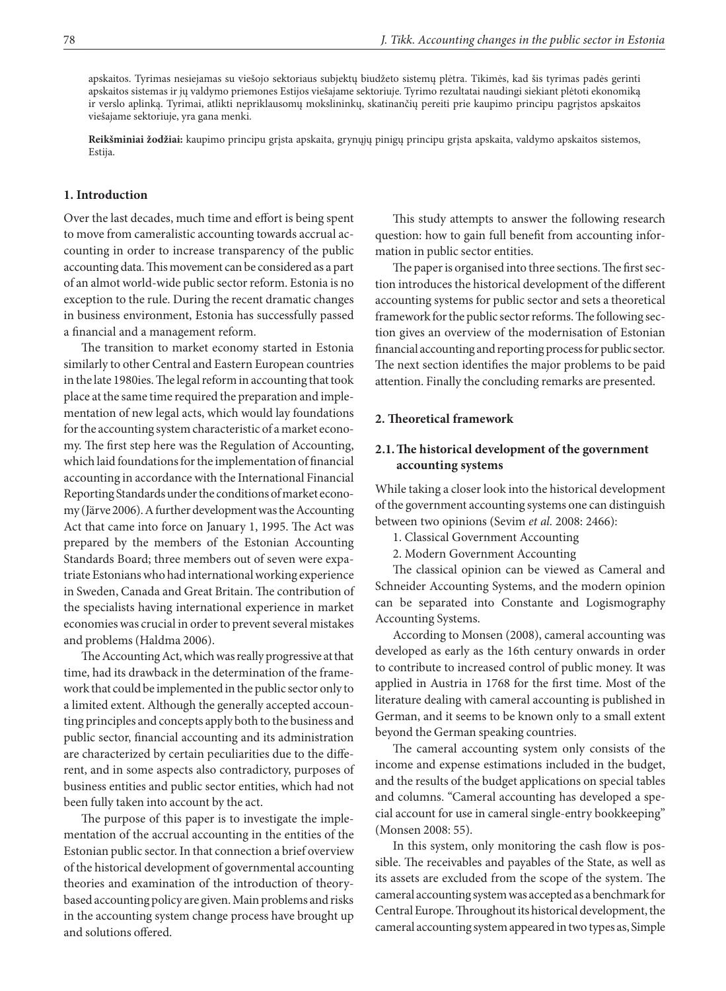apskaitos. Tyrimas nesiejamas su viešojo sektoriaus subjektų biudžeto sistemų plėtra. Tikimės, kad šis tyrimas padės gerinti apskaitos sistemas ir jų valdymo priemones Estijos viešajame sektoriuje. Tyrimo rezultatai naudingi siekiant plėtoti ekonomiką ir verslo aplinką. Tyrimai, atlikti nepriklausomų mokslininkų, skatinančių pereiti prie kaupimo principu pagrįstos apskaitos viešajame sektoriuje, yra gana menki.

**Reikšminiai žodžiai:** kaupimo principu grįsta apskaita, grynųjų pinigų principu grįsta apskaita, valdymo apskaitos sistemos, Estija.

#### **1. Introduction**

Over the last decades, much time and effort is being spent to move from cameralistic accounting towards accrual accounting in order to increase transparency of the public accounting data. This movement can be considered as a part of an almot world-wide public sector reform. Estonia is no exception to the rule. During the recent dramatic changes in business environment, Estonia has successfully passed a financial and a management reform.

The transition to market economy started in Estonia similarly to other Central and Eastern European countries in the late 1980ies. The legal reform in accounting that took place at the same time required the preparation and implementation of new legal acts, which would lay foundations for the accounting system characteristic of a market economy. The first step here was the Regulation of Accounting, which laid foundations for the implementation of financial accounting in accordance with the International Financial Reporting Standards under the conditions of market economy (Järve 2006). A further development was the Accounting Act that came into force on January 1, 1995. The Act was prepared by the members of the Estonian Accounting Standards Board; three members out of seven were expatriate Estonians who had international working experience in Sweden, Canada and Great Britain. The contribution of the specialists having international experience in market economies was crucial in order to prevent several mistakes and problems (Haldma 2006).

The Accounting Act, which was really progressive at that time, had its drawback in the determination of the framework that could be implemented in the public sector only to a limited extent. Although the generally accepted accounting principles and concepts apply both to the business and public sector, financial accounting and its administration are characterized by certain peculiarities due to the different, and in some aspects also contradictory, purposes of business entities and public sector entities, which had not been fully taken into account by the act.

The purpose of this paper is to investigate the implementation of the accrual accounting in the entities of the Estonian public sector. In that connection a brief overview of the historical development of governmental accounting theories and examination of the introduction of theorybased accounting policy are given. Main problems and risks in the accounting system change process have brought up and solutions offered.

This study attempts to answer the following research question: how to gain full benefit from accounting information in public sector entities.

The paper is organised into three sections. The first section introduces the historical development of the different accounting systems for public sector and sets a theoretical framework for the public sector reforms. The following section gives an overview of the modernisation of Estonian financial accounting and reporting process for public sector. The next section identifies the major problems to be paid attention. Finally the concluding remarks are presented.

#### **2. Theoretical framework**

## **2.1.The historical development of the government accounting systems**

While taking a closer look into the historical development of the government accounting systems one can distinguish between two opinions (Sevim *et al.* 2008: 2466):

- 1. Classical Government Accounting
- 2. Modern Government Accounting

The classical opinion can be viewed as Cameral and Schneider Accounting Systems, and the modern opinion can be separated into Constante and Logismography Accounting Systems.

According to Monsen (2008), cameral accounting was developed as early as the 16th century onwards in order to contribute to increased control of public money. It was applied in Austria in 1768 for the first time. Most of the literature dealing with cameral accounting is published in German, and it seems to be known only to a small extent beyond the German speaking countries.

The cameral accounting system only consists of the income and expense estimations included in the budget, and the results of the budget applications on special tables and columns. "Cameral accounting has developed a special account for use in cameral single-entry bookkeeping" (Monsen 2008: 55).

In this system, only monitoring the cash flow is possible. The receivables and payables of the State, as well as its assets are excluded from the scope of the system. The cameral accounting system was accepted as a benchmark for Central Europe. Throughout its historical development, the cameral accounting system appeared in two types as, Simple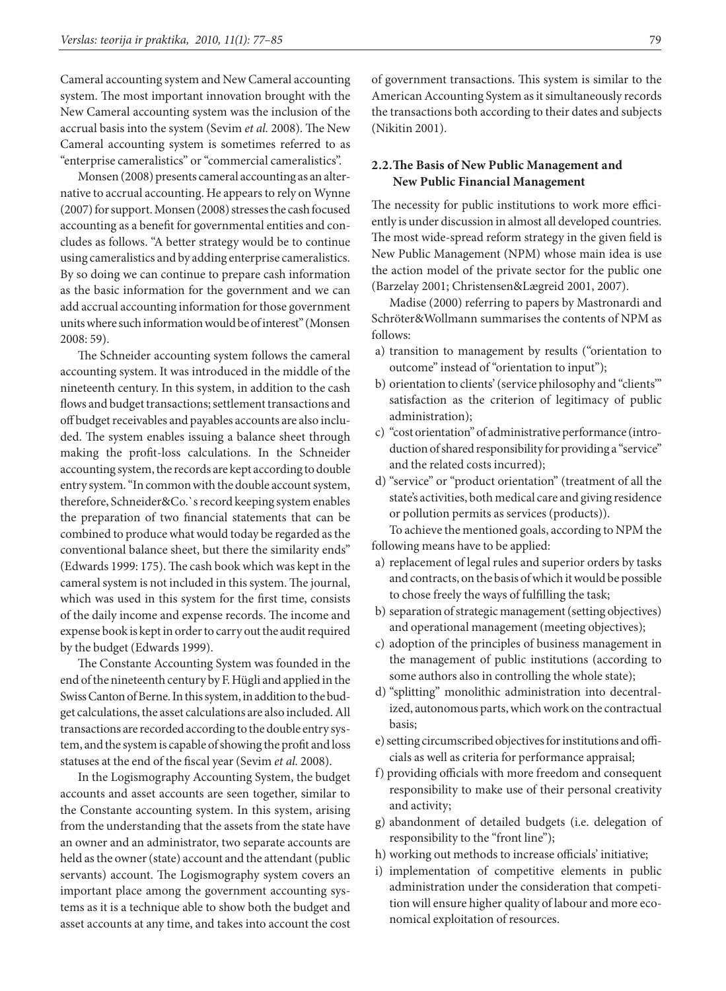Cameral accounting system and New Cameral accounting system. The most important innovation brought with the New Cameral accounting system was the inclusion of the accrual basis into the system (Sevim *et al.* 2008). The New Cameral accounting system is sometimes referred to as "enterprise cameralistics" or "commercial cameralistics".

Monsen (2008) presents cameral accounting as an alternative to accrual accounting. He appears to rely on Wynne (2007) for support. Monsen (2008) stresses the cash focused accounting as a benefit for governmental entities and concludes as follows. "A better strategy would be to continue using cameralistics and by adding enterprise cameralistics. By so doing we can continue to prepare cash information as the basic information for the government and we can add accrual accounting information for those government units where such information would be of interest" (Monsen 2008: 59).

The Schneider accounting system follows the cameral accounting system. It was introduced in the middle of the nineteenth century. In this system, in addition to the cash flows and budget transactions; settlement transactions and off budget receivables and payables accounts are also included. The system enables issuing a balance sheet through making the profit-loss calculations. In the Schneider accounting system, the records are kept according to double entry system. "In common with the double account system, therefore, Schneider&Co.`s record keeping system enables the preparation of two financial statements that can be combined to produce what would today be regarded as the conventional balance sheet, but there the similarity ends" (Edwards 1999: 175). The cash book which was kept in the cameral system is not included in this system. The journal, which was used in this system for the first time, consists of the daily income and expense records. The income and expense book is kept in order to carry out the audit required by the budget (Edwards 1999).

The Constante Accounting System was founded in the end of the nineteenth century by F. Hügli and applied in the Swiss Canton of Berne. In this system, in addition to the budget calculations, the asset calculations are also included. All transactions are recorded according to the double entry system, and the system is capable of showing the profit and loss statuses at the end of the fiscal year (Sevim *et al.* 2008).

In the Logismography Accounting System, the budget accounts and asset accounts are seen together, similar to the Constante accounting system. In this system, arising from the understanding that the assets from the state have an owner and an administrator, two separate accounts are held as the owner (state) account and the attendant (public servants) account. The Logismography system covers an important place among the government accounting systems as it is a technique able to show both the budget and asset accounts at any time, and takes into account the cost

of government transactions. This system is similar to the American Accounting System as it simultaneously records the transactions both according to their dates and subjects (Nikitin 2001).

#### **2.2.The Basis of New Public Management and New Public Financial Management**

The necessity for public institutions to work more efficiently is under discussion in almost all developed countries. The most wide-spread reform strategy in the given field is New Public Management (NPM) whose main idea is use the action model of the private sector for the public one (Barzelay 2001; Christensen&Lægreid 2001, 2007).

Madise (2000) referring to papers by Mastronardi and Schröter&Wollmann summarises the contents of NPM as follows:

- a) transition to management by results ("orientation to outcome" instead of "orientation to input");
- b) orientation to clients' (service philosophy and "clients'" satisfaction as the criterion of legitimacy of public administration);
- c) "cost orientation" of administrative performance (introduction of shared responsibility for providing a "service" and the related costs incurred);
- d) "service" or "product orientation" (treatment of all the state's activities, both medical care and giving residence or pollution permits as services (products)). To achieve the mentioned goals, according to NPM the

following means have to be applied:

- a) replacement of legal rules and superior orders by tasks and contracts, on the basis of which it would be possible to chose freely the ways of fulfilling the task;
- b) separation of strategic management (setting objectives) and operational management (meeting objectives);
- c) adoption of the principles of business management in the management of public institutions (according to some authors also in controlling the whole state);
- d) "splitting" monolithic administration into decentralized, autonomous parts, which work on the contractual basis;
- e) setting circumscribed objectives for institutions and officials as well as criteria for performance appraisal;
- f) providing officials with more freedom and consequent responsibility to make use of their personal creativity and activity;
- g) abandonment of detailed budgets (i.e. delegation of responsibility to the "front line");
- h) working out methods to increase officials' initiative;
- i) implementation of competitive elements in public administration under the consideration that competition will ensure higher quality of labour and more economical exploitation of resources.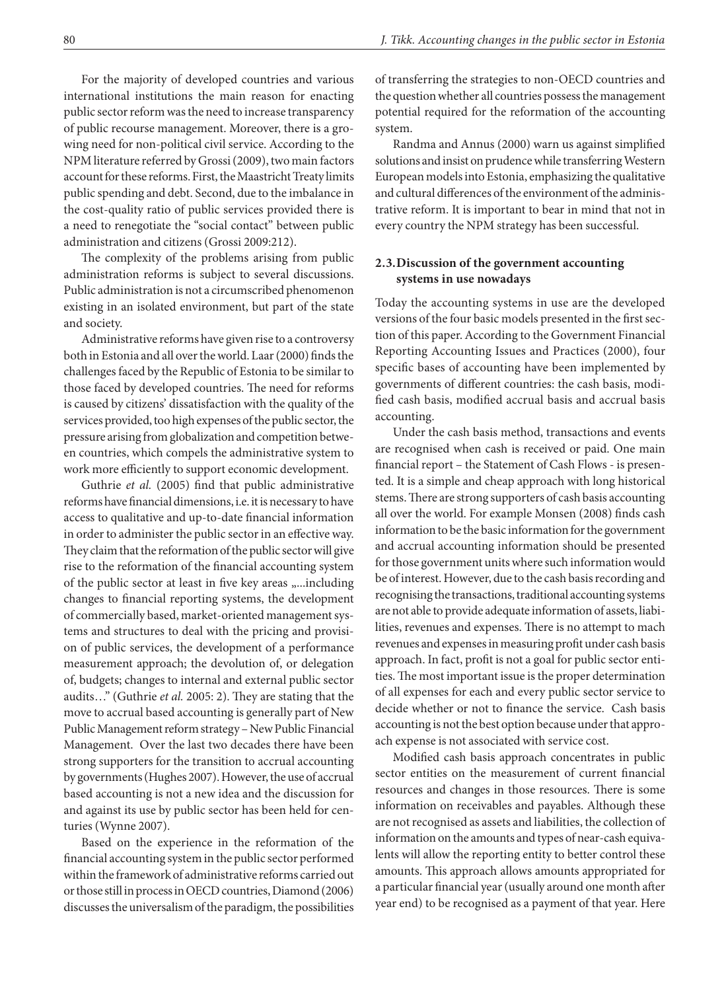For the majority of developed countries and various international institutions the main reason for enacting public sector reform was the need to increase transparency of public recourse management. Moreover, there is a growing need for non-political civil service. According to the NPM literature referred by Grossi (2009), two main factors account for these reforms. First, the Maastricht Treaty limits public spending and debt. Second, due to the imbalance in the cost-quality ratio of public services provided there is a need to renegotiate the "social contact" between public administration and citizens (Grossi 2009:212).

The complexity of the problems arising from public administration reforms is subject to several discussions. Public administration is not a circumscribed phenomenon existing in an isolated environment, but part of the state and society.

Administrative reforms have given rise to a controversy both in Estonia and all over the world. Laar (2000) finds the challenges faced by the Republic of Estonia to be similar to those faced by developed countries. The need for reforms is caused by citizens' dissatisfaction with the quality of the services provided, too high expenses of the public sector, the pressure arising from globalization and competition between countries, which compels the administrative system to work more efficiently to support economic development.

Guthrie et al. (2005) find that public administrative reforms have financial dimensions, i.e. it is necessary to have access to qualitative and up-to-date financial information in order to administer the public sector in an effective way. They claim that the reformation of the public sector will give rise to the reformation of the financial accounting system of the public sector at least in five key areas "...including changes to financial reporting systems, the development of commercially based, market-oriented management systems and structures to deal with the pricing and provision of public services, the development of a performance measurement approach; the devolution of, or delegation of, budgets; changes to internal and external public sector audits…" (Guthrie *et al.* 2005: 2). They are stating that the move to accrual based accounting is generally part of New Public Management reform strategy – New Public Financial Management. Over the last two decades there have been strong supporters for the transition to accrual accounting by governments (Hughes 2007). However, the use of accrual based accounting is not a new idea and the discussion for and against its use by public sector has been held for centuries (Wynne 2007).

Based on the experience in the reformation of the financial accounting system in the public sector performed within the framework of administrative reforms carried out or those still in process in OECD countries, Diamond (2006) discusses the universalism of the paradigm, the possibilities

of transferring the strategies to non-OECD countries and the question whether all countries possess the management potential required for the reformation of the accounting system.

Randma and Annus (2000) warn us against simplified solutions and insist on prudence while transferring Western European models into Estonia, emphasizing the qualitative and cultural differences of the environment of the administrative reform. It is important to bear in mind that not in every country the NPM strategy has been successful.

## **2.3.Discussion of the government accounting systems in use nowadays**

Today the accounting systems in use are the developed versions of the four basic models presented in the first section of this paper. According to the Government Financial Reporting Accounting Issues and Practices (2000), four specific bases of accounting have been implemented by governments of different countries: the cash basis, modified cash basis, modified accrual basis and accrual basis accounting.

Under the cash basis method, transactions and events are recognised when cash is received or paid. One main financial report – the Statement of Cash Flows - is presented. It is a simple and cheap approach with long historical stems. There are strong supporters of cash basis accounting all over the world. For example Monsen (2008) finds cash information to be the basic information for the government and accrual accounting information should be presented for those government units where such information would be of interest. However, due to the cash basis recording and recognising the transactions, traditional accounting systems are not able to provide adequate information of assets, liabilities, revenues and expenses. There is no attempt to mach revenues and expenses in measuring profit under cash basis approach. In fact, profit is not a goal for public sector entities. The most important issue is the proper determination of all expenses for each and every public sector service to decide whether or not to finance the service. Cash basis accounting is not the best option because under that approach expense is not associated with service cost.

Modified cash basis approach concentrates in public sector entities on the measurement of current financial resources and changes in those resources. There is some information on receivables and payables. Although these are not recognised as assets and liabilities, the collection of information on the amounts and types of near-cash equivalents will allow the reporting entity to better control these amounts. This approach allows amounts appropriated for a particular financial year (usually around one month after year end) to be recognised as a payment of that year. Here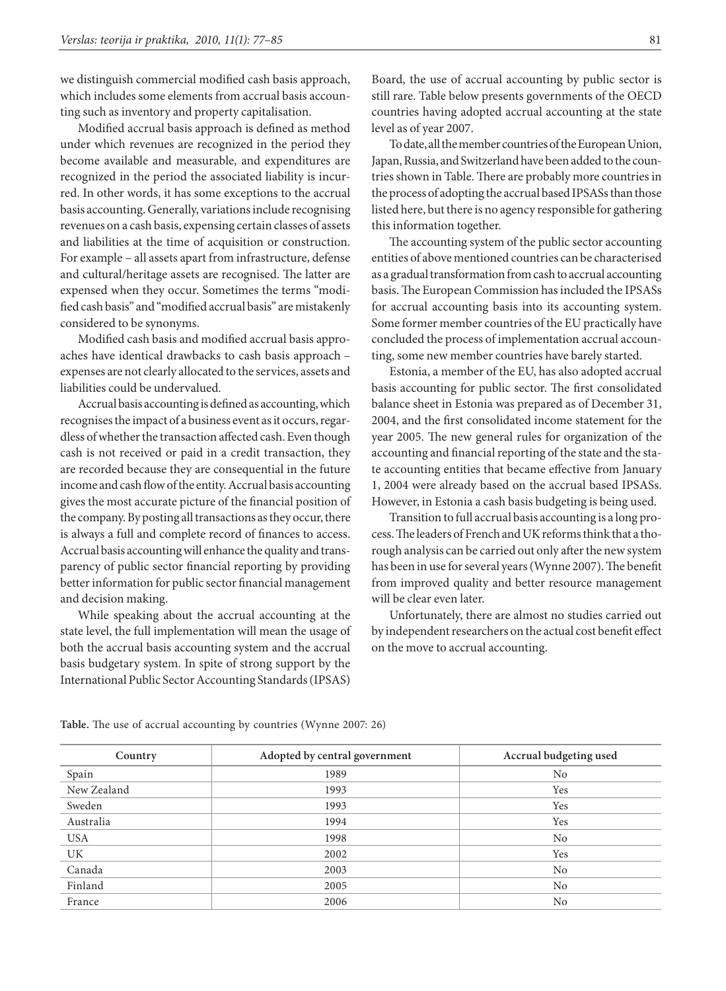we distinguish commercial modified cash basis approach, which includes some elements from accrual basis accounting such as inventory and property capitalisation.

Modified accrual basis approach is defined as [method](http://www.businessdictionary.com/definition/method.html) under which [revenues](http://www.businessdictionary.com/definition/revenue.html) are recognized in the [period](http://www.investorwords.com/3669/period.html) they become available and measurable, and [expenditures](http://www.businessdictionary.com/definition/expenditure.html) are recognized in the period the [associated](http://www.businessdictionary.com/definition/associated.html) [liability](http://www.businessdictionary.com/definition/liability.html) is incurred. In other words, it has some exceptions to the accrual basis accounting. Generally, variations include recognising revenues on a cash basis, expensing certain classes of assets and liabilities at the time of acquisition or construction. For example – all assets apart from infrastructure, defense and cultural/heritage assets are recognised. The latter are expensed when they occur. Sometimes the terms "modified cash basis" and "modified accrual basis" are mistakenly considered to be synonyms.

Modified cash basis and modified accrual basis approaches have identical drawbacks to cash basis approach – expenses are not clearly allocated to the services, assets and liabilities could be undervalued.

Accrual basis accounting is defined as accounting, which recognises the impact of a business event as it occurs, regardless of whether the transaction affected cash. Even though cash is not received or paid in a credit transaction, they are recorded because they are consequential in the future income and cash flow of the entity. Accrual basis accounting gives the most accurate picture of the financial position of the company. By posting all transactions as they occur, there is always a full and complete record of finances to access. Accrual basis accounting will enhance the quality and transparency of public sector financial reporting by providing better information for public sector financial management and decision making.

While speaking about the accrual accounting at the state level, the full implementation will mean the usage of both the accrual basis accounting system and the accrual basis budgetary system. In spite of strong support by the International Public Sector Accounting Standards (IPSAS)

Board, the use of accrual accounting by public sector is still rare. Table below presents governments of the OECD countries having adopted accrual accounting at the state level as of year 2007.

To date, all the member countries of the European Union, Japan, Russia, and Switzerland have been added to the countries shown in Table. There are probably more countries in the process of adopting the accrual based IPSASs than those listed here, but there is no agency responsible for gathering this information together.

The accounting system of the public sector accounting entities of above mentioned countries can be characterised as a gradual transformation from cash to accrual accounting basis. The European Commission has included the IPSASs for accrual accounting basis into its accounting system. Some former member countries of the EU practically have concluded the process of implementation accrual accounting, some new member countries have barely started.

Estonia, a member of the EU, has also adopted accrual basis accounting for public sector. The first consolidated balance sheet in Estonia was prepared as of December 31, 2004, and the first consolidated income statement for the year 2005. The new general rules for organization of the accounting and financial reporting of the state and the state accounting entities that became effective from January 1, 2004 were already based on the accrual based IPSASs. However, in Estonia a cash basis budgeting is being used.

Transition to full accrual basis accounting is a long process. The leaders of French and UK reforms think that a thorough analysis can be carried out only after the new system has been in use for several years (Wynne 2007). The benefit from improved quality and better resource management will be clear even later.

Unfortunately, there are almost no studies carried out by independent researchers on the actual cost benefit effect on the move to accrual accounting.

| Country     | Adopted by central government | Accrual budgeting used |
|-------------|-------------------------------|------------------------|
| Spain       | 1989                          | No                     |
| New Zealand | 1993                          | Yes                    |
| Sweden      | 1993                          | Yes                    |
| Australia   | 1994                          | Yes                    |
| <b>USA</b>  | 1998                          | N <sub>0</sub>         |
| UK          | 2002                          | Yes                    |
| Canada      | 2003                          | N <sub>0</sub>         |
| Finland     | 2005                          | N <sub>0</sub>         |
| France      | 2006                          | N <sub>0</sub>         |

**Table.** The use of accrual accounting by countries (Wynne 2007: 26)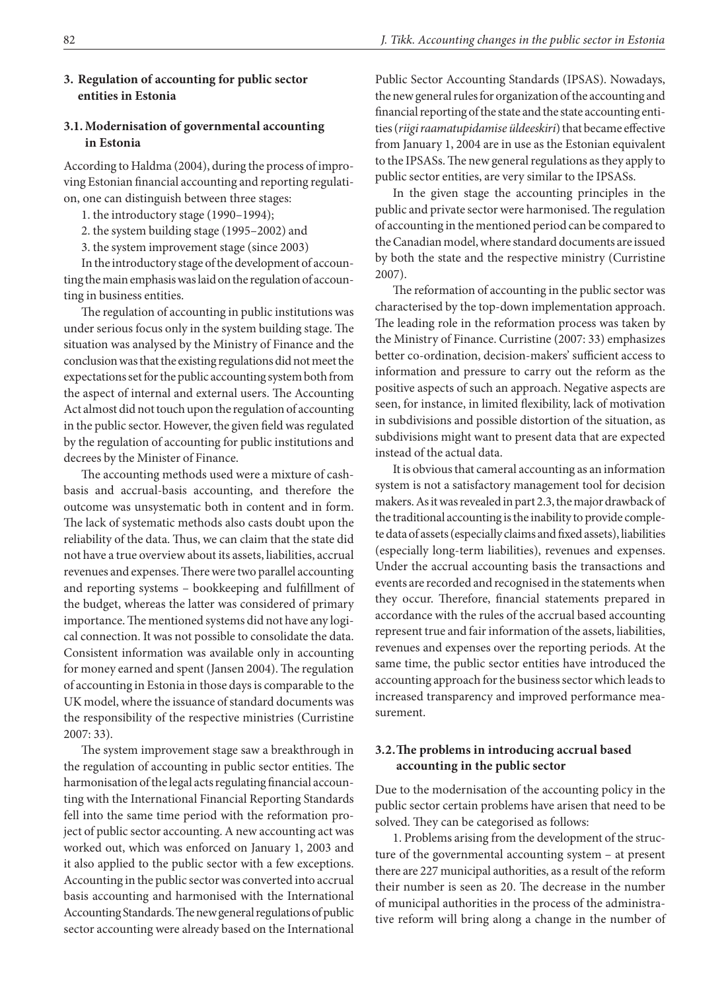#### **3. Regulation of accounting for public sector entities in Estonia**

## **3.1. Modernisation of governmental accounting in Estonia**

According to Haldma (2004), during the process of improving Estonian financial accounting and reporting regulation, one can distinguish between three stages:

1. the introductory stage (1990–1994);

2. the system building stage (1995–2002) and

3. the system improvement stage (since 2003)

In the introductory stage of the development of accounting the main emphasis was laid on the regulation of accounting in business entities.

The regulation of accounting in public institutions was under serious focus only in the system building stage. The situation was analysed by the Ministry of Finance and the conclusion was that the existing regulations did not meet the expectations set for the public accounting system both from the aspect of internal and external users. The Accounting Act almost did not touch upon the regulation of accounting in the public sector. However, the given field was regulated by the regulation of accounting for public institutions and decrees by the Minister of Finance.

The accounting methods used were a mixture of cashbasis and accrual-basis accounting, and therefore the outcome was unsystematic both in content and in form. The lack of systematic methods also casts doubt upon the reliability of the data. Thus, we can claim that the state did not have a true overview about its assets, liabilities, accrual revenues and expenses. There were two parallel accounting and reporting systems – bookkeeping and fulfillment of the budget, whereas the latter was considered of primary importance. The mentioned systems did not have any logical connection. It was not possible to consolidate the data. Consistent information was available only in accounting for money earned and spent (Jansen 2004). The regulation of accounting in Estonia in those days is comparable to the UK model, where the issuance of standard documents was the responsibility of the respective ministries (Curristine 2007: 33).

The system improvement stage saw a breakthrough in the regulation of accounting in public sector entities. The harmonisation of the legal acts regulating financial accounting with the International Financial Reporting Standards fell into the same time period with the reformation project of public sector accounting. A new accounting act was worked out, which was enforced on January 1, 2003 and it also applied to the public sector with a few exceptions. Accounting in the public sector was converted into accrual basis accounting and harmonised with the International Accounting Standards. The new general regulations of public sector accounting were already based on the International

Public Sector Accounting Standards (IPSAS). Nowadays, the new general rules for organization of the accounting and financial reporting of the state and the state accounting entities (*riigi raamatupidamise üldeeskiri*) that became effective from January 1, 2004 are in use as the Estonian equivalent to the IPSASs. The new general regulations as they apply to public sector entities, are very similar to the IPSASs.

In the given stage the accounting principles in the public and private sector were harmonised. The regulation of accounting in the mentioned period can be compared to the Canadian model, where standard documents are issued by both the state and the respective ministry (Curristine 2007).

The reformation of accounting in the public sector was characterised by the top-down implementation approach. The leading role in the reformation process was taken by the Ministry of Finance. Curristine (2007: 33) emphasizes better co-ordination, decision-makers' sufficient access to information and pressure to carry out the reform as the positive aspects of such an approach. Negative aspects are seen, for instance, in limited flexibility, lack of motivation in subdivisions and possible distortion of the situation, as subdivisions might want to present data that are expected instead of the actual data.

It is obvious that cameral accounting as an information system is not a satisfactory management tool for decision makers. As it was revealed in part 2.3, the major drawback of the traditional accounting is the inability to provide complete data of assets (especially claims and fixed assets), liabilities (especially long-term liabilities), revenues and expenses. Under the accrual accounting basis the transactions and events are recorded and recognised in the statements when they occur. Therefore, financial statements prepared in accordance with the rules of the accrual based accounting represent true and fair information of the assets, liabilities, revenues and expenses over the reporting periods. At the same time, the public sector entities have introduced the accounting approach for the business sector which leads to increased transparency and improved performance measurement.

## **3.2.The problems in introducing accrual based accounting in the public sector**

Due to the modernisation of the accounting policy in the public sector certain problems have arisen that need to be solved. They can be categorised as follows:

1. Problems arising from the development of the structure of the governmental accounting system – at present there are 227 municipal authorities, as a result of the reform their number is seen as 20. The decrease in the number of municipal authorities in the process of the administrative reform will bring along a change in the number of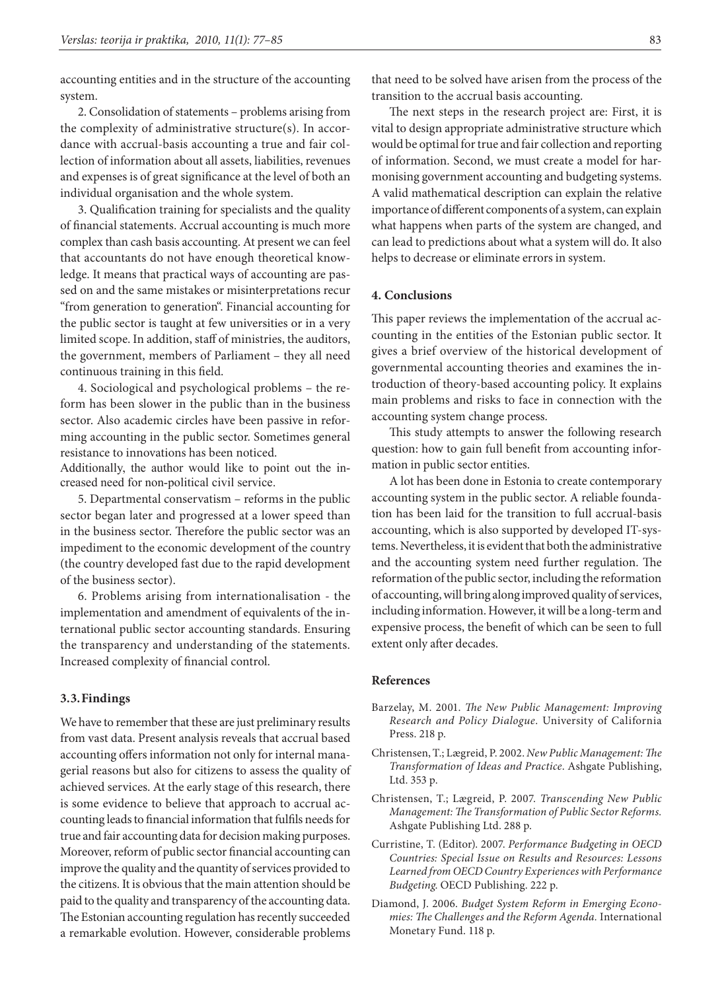accounting entities and in the structure of the accounting system.

2. Consolidation of statements – problems arising from the complexity of administrative structure(s). In accordance with accrual-basis accounting a true and fair collection of information about all assets, liabilities, revenues and expenses is of great significance at the level of both an individual organisation and the whole system.

3. Qualification training for specialists and the quality of financial statements. Accrual accounting is much more complex than cash basis accounting. At present we can feel that accountants do not have enough theoretical knowledge. It means that practical ways of accounting are passed on and the same mistakes or misinterpretations recur "from generation to generation". Financial accounting for the public sector is taught at few universities or in a very limited scope. In addition, staff of ministries, the auditors, the government, members of Parliament – they all need continuous training in this field.

4. Sociological and psychological problems – the reform has been slower in the public than in the business sector. Also academic circles have been passive in reforming accounting in the public sector. Sometimes general resistance to innovations has been noticed.

Additionally, the author would like to point out the increased need for non-political civil service.

5. Departmental conservatism – reforms in the public sector began later and progressed at a lower speed than in the business sector. Therefore the public sector was an impediment to the economic development of the country (the country developed fast due to the rapid development of the business sector).

6. Problems arising from internationalisation - the implementation and amendment of equivalents of the international public sector accounting standards. Ensuring the transparency and understanding of the statements. Increased complexity of financial control.

#### **3.3.Findings**

We have to remember that these are just preliminary results from vast data. Present analysis reveals that accrual based accounting offers information not only for internal managerial reasons but also for citizens to assess the quality of achieved services. At the early stage of this research, there is some evidence to believe that approach to accrual accounting leads to financial information that fulfils needs for true and fair accounting data for decision making purposes. Moreover, reform of public sector financial accounting can improve the quality and the quantity of services provided to the citizens. It is obvious that the main attention should be paid to the quality and transparency of the accounting data. The Estonian accounting regulation has recently succeeded a remarkable evolution. However, considerable problems

The next steps in the research project are: First, it is vital to design appropriate administrative structure which would be optimal for true and fair collection and reporting of information. Second, we must create a model for harmonising government accounting and budgeting systems. A valid mathematical description can explain the relative importance of different components of a system, can explain what happens when parts of the system are changed, and can lead to predictions about what a system will do. It also helps to decrease or eliminate errors in system.

#### **4. Conclusions**

This paper reviews the implementation of the accrual accounting in the entities of the Estonian public sector. It gives a brief overview of the historical development of governmental accounting theories and examines the introduction of theory-based accounting policy. It explains main problems and risks to face in connection with the accounting system change process.

This study attempts to answer the following research question: how to gain full benefit from accounting information in public sector entities.

A lot has been done in Estonia to create contemporary accounting system in the public sector. A reliable foundation has been laid for the transition to full accrual-basis accounting, which is also supported by developed IT-systems. Nevertheless, it is evident that both the administrative and the accounting system need further regulation. The reformation of the public sector, including the reformation of accounting, will bring along improved quality of services, including information. However, it will be a long-term and expensive process, the benefit of which can be seen to full extent only after decades.

#### **References**

- Barzelay, M. 2001. *The New Public Management: Improving Research and Policy Dialogue*. University of California Press. 218 p.
- Christensen, T.; Lægreid, P. 2002. *New Public Management: The Transformation of Ideas and Practice*. Ashgate Publishing, Ltd. 353 p.
- Christensen, T.; Lægreid, P. 2007. *Transcending New Public Management: The Transformation of Public Sector Reforms.*  Ashgate Publishing Ltd. 288 p.
- Curristine, T. (Editor). 2007. *Performance Budgeting in OECD Countries: Special Issue on Results and Resources: Lessons Learned from OECD Country Experiences with Performance Budgeting*. OECD Publishing. 222 p.
- Diamond, J. 2006. *Budget System Reform in Emerging Economies: The Challenges and the Reform Agenda.* International Monetary Fund. 118 p.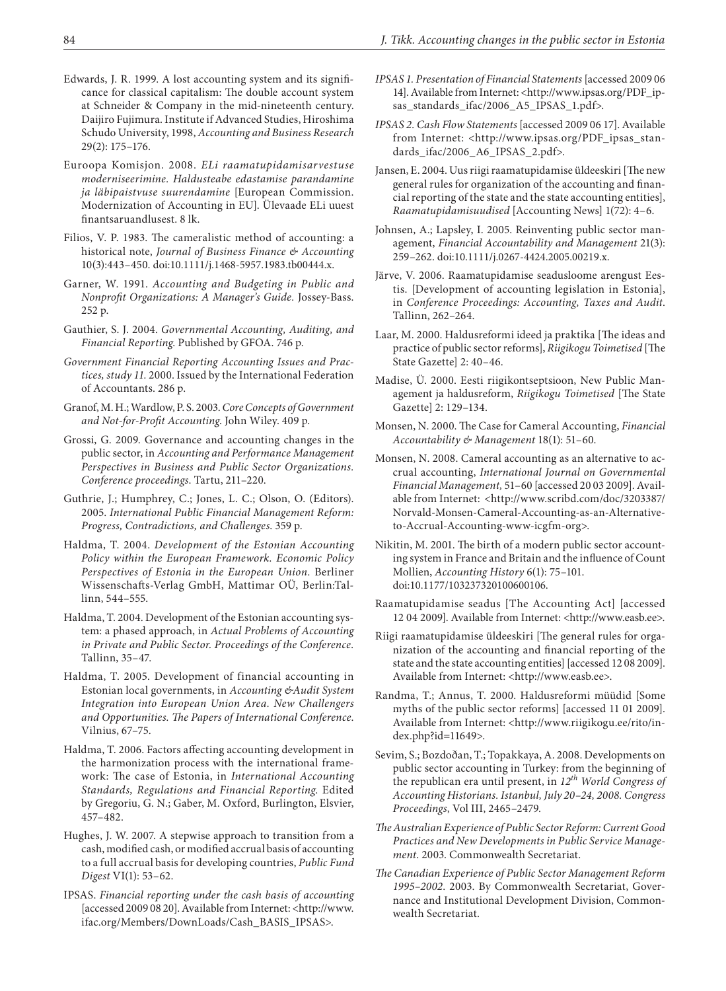- Edwards, J. R. 1999. A lost accounting system and its significance for classical capitalism: The double account system at Schneider & Company in the mid-nineteenth century. Daijiro Fujimura. Institute if Advanced Studies, Hiroshima Schudo University, 1998, *Accounting and Business Research* 29(2): 175–176.
- Euroopa Komisjon. 2008. *ELi raamatupidamisarvestuse moderniseerimine. Haldusteabe edastamise parandamine ja läbipaistvuse suurendamine* [European Commission. Modernization of Accounting in EU]. Ülevaade ELi uuest finantsaruandlusest. 8 lk.
- Filios, V. P. 1983. The cameralistic method of accounting: a historical note, *Journal of Business Finance & Accounting*  10(3):443–450. [doi:10.1111/j.1468-5957.1983.tb00444.x.](http://dx.doi.org/10.1111/j.1468-5957.1983.tb00444.x" \o "http://dx.doi.org/10.1111/j.1468-5957.1983.tb00444.x" \t "_blank)
- Garner, W. 1991. *Accounting and Budgeting in Public and Nonprofit Organizations: A Manager's Guide.* Jossey-Bass. 252 p.
- Gauthier, S. J. 2004. *Governmental Accounting, Auditing, and Financial Reporting*. Published by GFOA. 746 p.
- *Government Financial Reporting Accounting Issues and Practices, study 11.* 2000. Issued by the International Federation of Accountants. 286 p.
- Granof, M. H.; Wardlow, P. S. 2003. *Core Concepts of Government and Not-for-Profit Accounting*. John Wiley. 409 p.
- Grossi, G. 2009. Governance and accounting changes in the public sector, in *Accounting and Performance Management Perspectives in Business and Public Sector Organizations. Conference proceedings*. Tartu, 211–220.
- Guthrie, J.; Humphrey, C.; Jones, L. C.; Olson, O. (Editors). 2005. *International Public Financial Management Reform: Progress, Contradictions, and Challenges*. 359 p.
- Haldma, T. 2004. *Development of the Estonian Accounting Policy within the European Framework. Economic Policy Perspectives of Estonia in the European Union.* Berliner Wissenschafts-Verlag GmbH, Mattimar OÜ, Berlin:Tallinn, 544–555.
- Haldma, T. 2004. Development of the Estonian accounting system: a phased approach, in *Actual Problems of Accounting in Private and Public Sector. Proceedings of the Conference.*  Tallinn, 35–47.
- Haldma, T. 2005. Development of financial accounting in Estonian local governments, in *Accounting &Audit System Integration into European Union Area. New Challengers and Opportunities. The Papers of International Conference*. Vilnius, 67–75.
- Haldma, T. 2006. Factors affecting accounting development in the harmonization process with the international framework: The case of Estonia, in *International Accounting Standards, Regulations and Financial Reporting*. Edited by Gregoriu, G. N.; Gaber, M. Oxford, Burlington, Elsvier, 457–482.
- Hughes, J. W. 2007. A stepwise approach to transition from a cash, modified cash, or modified accrual basis of accounting to a full accrual basis for developing countries, *Public Fund Digest* VI(1): 53–62.
- IPSAS. *Financial reporting under the cash basis of accounting*  [accessed 2009 08 20]. Available from Internet: <http://www. ifac.org/Members/DownLoads/Cash\_BASIS\_IPSAS>.
- *IPSAS 1. Presentation of Financial Statements* [accessed 2009 06 14]. Available from Internet: <http://www.ipsas.org/PDF\_ipsas\_standards\_ifac/2006\_A5\_IPSAS\_1.pdf>.
- *IPSAS 2. Cash Flow Statements* [accessed 2009 06 17]. Available from Internet: <http://www.ipsas.org/PDF\_ipsas\_standards\_ifac/2006\_A6\_IPSAS\_2.pdf>.
- Jansen, E. 2004. Uus riigi raamatupidamise üldeeskiri [The new general rules for organization of the accounting and financial reporting of the state and the state accounting entities], *Raamatupidamisuudised* [Accounting News] 1(72): 4–6.
- Johnsen, A.; Lapsley, I. 2005. Reinventing public sector management, *Financial Accountability and Management* 21(3): 259–262. [doi:10.1111/j.0267-4424.2005.00219.x](http://dx.doi.org/10.1111/j.0267-4424.2005.00219.x" \o "http://dx.doi.org/10.1111/j.0267-4424.2005.00219.x" \t "_blank).
- Järve, V. 2006. Raamatupidamise seadusloome arengust Eestis. [Development of accounting legislation in Estonia], in *Conference Proceedings: Accounting, Taxes and Audit*. Tallinn, 262–264.
- Laar, M. 2000. Haldusreformi ideed ja praktika [The ideas and practice of public sector reforms], *Riigikogu Toimetised* [The State Gazette] 2: 40–46.
- Madise, Ü. 2000. Eesti riigikontseptsioon, New Public Management ja haldusreform, *Riigikogu Toimetised* [The State Gazette] 2: 129–134.
- Monsen, N. 2000. The Case for Cameral Accounting, *Financial Accountability & Management* 18(1): 51–60.
- Monsen, N. 2008. Cameral accounting as an alternative to accrual accounting, *International Journal on Governmental Financial Management,* 51–60 [accessed 20 03 2009]. Available from Internet: <http://www.scribd.com/doc/3203387/ Norvald-Monsen-Cameral-Accounting-as-an-Alternativeto-Accrual-Accounting-www-icgfm-org>.
- Nikitin, M. 2001. The birth of a modern public sector accounting system in France and Britain and the influence of Count Mollien, *Accounting History* 6(1): 75–101. [doi:10.1177/103237320100600106](http://dx.doi.org/10.1177/103237320100600106" \o "http://dx.doi.org/10.1177/103237320100600106" \t "_blank).
- Raamatupidamise seadus [The Accounting Act] [accessed 12 04 2009]. Available from Internet: <http://www.easb.ee>.
- Riigi raamatupidamise üldeeskiri [The general rules for organization of the accounting and financial reporting of the state and the state accounting entities] [accessed 12 08 2009]. Available from Internet: <http://www.easb.ee>.
- Randma, T.; Annus, T. 2000. Haldusreformi müüdid [Some myths of the public sector reforms] [accessed 11 01 2009]. Available from Internet: <http://www.riigikogu.ee/rito/index.php?id=11649>.
- Sevim, S.; Bozdoðan, T.; Topakkaya, A. 2008. Developments on public sector accounting in Turkey: from the beginning of the republican era until present, in *12th World Congress of Accounting Historians. Istanbul, July 20–24, 2008. Congress Proceedings*, Vol III, 2465–2479.
- *The Australian Experience of Public Sector Reform: Current Good Practices and New Developments in Public Service Management*. 2003. Commonwealth Secretariat.
- *The Canadian Experience of Public Sector Management Reform 1995–2002*. 2003. By Commonwealth Secretariat, Governance and Institutional Development Division, Commonwealth Secretariat.